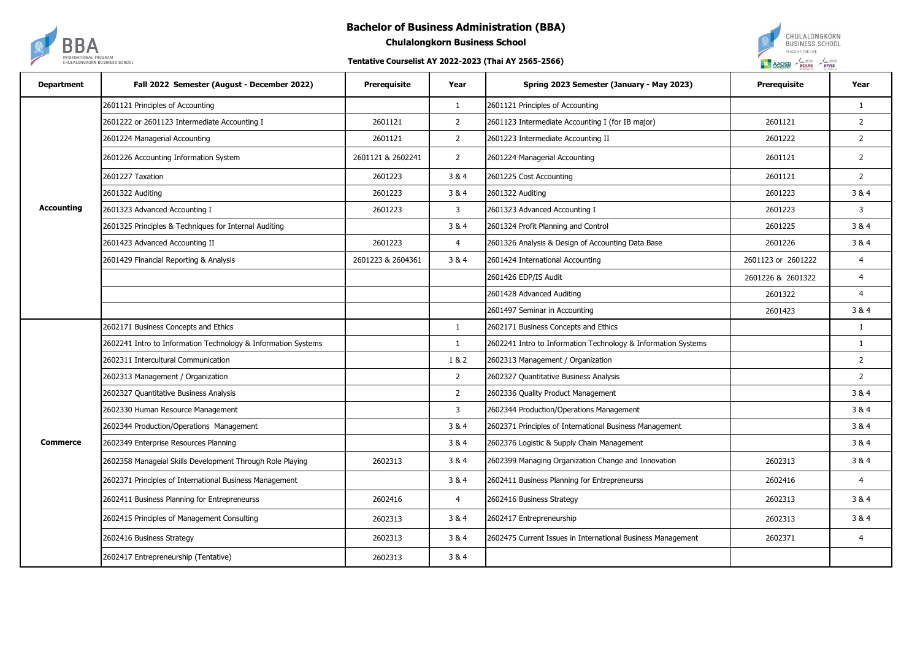## **Bachelor of Business Administration (BBA)**



**Chulalongkorn Business School**

## **Tentative Courselist AY 2022-2023 (Thai AY 2565-2566)**



| <b>Department</b> | Fall 2022 Semester (August - December 2022)                   | <b>Prerequisite</b> | Year           | Spring 2023 Semester (January - May 2023)                     | Prerequisite       | Year           |
|-------------------|---------------------------------------------------------------|---------------------|----------------|---------------------------------------------------------------|--------------------|----------------|
| <b>Accounting</b> | 2601121 Principles of Accounting                              |                     | $\mathbf{1}$   | 2601121 Principles of Accounting                              |                    | $\mathbf{1}$   |
|                   | 2601222 or 2601123 Intermediate Accounting I                  | 2601121             | $\overline{2}$ | 2601123 Intermediate Accounting I (for IB major)              | 2601121            | $\overline{2}$ |
|                   | 2601224 Managerial Accounting                                 | 2601121             | $\overline{2}$ | 2601223 Intermediate Accounting II                            | 2601222            | $\overline{2}$ |
|                   | 2601226 Accounting Information System                         | 2601121 & 2602241   | $\overline{2}$ | 2601224 Managerial Accounting                                 | 2601121            | $\overline{2}$ |
|                   | 2601227 Taxation                                              | 2601223             | 3 & 4          | 2601225 Cost Accounting                                       | 2601121            | $\overline{2}$ |
|                   | 2601322 Auditing                                              | 2601223             | 3 & 4          | 2601322 Auditing                                              | 2601223            | 3&4            |
|                   | 2601323 Advanced Accounting I                                 | 2601223             | $\overline{3}$ | 2601323 Advanced Accounting I                                 | 2601223            | $\overline{3}$ |
|                   | 2601325 Principles & Techniques for Internal Auditing         |                     | 3 & 4          | 2601324 Profit Planning and Control                           | 2601225            | 3 & 4          |
|                   | 2601423 Advanced Accounting II                                | 2601223             | $\overline{4}$ | 2601326 Analysis & Design of Accounting Data Base             | 2601226            | 3&4            |
|                   | 2601429 Financial Reporting & Analysis                        | 2601223 & 2604361   | 3&4            | 2601424 International Accounting                              | 2601123 or 2601222 | 4              |
|                   |                                                               |                     |                | 2601426 EDP/IS Audit                                          | 2601226 & 2601322  | $\overline{4}$ |
|                   |                                                               |                     |                | 2601428 Advanced Auditing                                     | 2601322            | $\overline{4}$ |
|                   |                                                               |                     |                | 2601497 Seminar in Accounting                                 | 2601423            | 3 & 4          |
|                   | 2602171 Business Concepts and Ethics                          |                     | $\mathbf{1}$   | 2602171 Business Concepts and Ethics                          |                    | $\mathbf{1}$   |
| <b>Commerce</b>   | 2602241 Intro to Information Technology & Information Systems |                     | $\mathbf{1}$   | 2602241 Intro to Information Technology & Information Systems |                    | $\mathbf{1}$   |
|                   | 2602311 Intercultural Communication                           |                     | 1 & 2          | 2602313 Management / Organization                             |                    | $\overline{2}$ |
|                   | 2602313 Management / Organization                             |                     | $\overline{2}$ | 2602327 Quantitative Business Analysis                        |                    | $\overline{2}$ |
|                   | 2602327 Quantitative Business Analysis                        |                     | $\overline{2}$ | 2602336 Quality Product Management                            |                    | 3&4            |
|                   | 2602330 Human Resource Management                             |                     | 3              | 2602344 Production/Operations Management                      |                    | 3&4            |
|                   | 2602344 Production/Operations Management                      |                     | 3 & 4          | 2602371 Principles of International Business Management       |                    | 3&4            |
|                   | 2602349 Enterprise Resources Planning                         |                     | 3 & 4          | 2602376 Logistic & Supply Chain Management                    |                    | 3&4            |
|                   | 2602358 Manageial Skills Development Through Role Playing     | 2602313             | 3 & 4          | 2602399 Managing Organization Change and Innovation           | 2602313            | 3&4            |
|                   | 2602371 Principles of International Business Management       |                     | 3 & 4          | 2602411 Business Planning for Entrepreneurss                  | 2602416            | $\overline{4}$ |
|                   | 2602411 Business Planning for Entrepreneurss                  | 2602416             | $\overline{4}$ | 2602416 Business Strategy                                     | 2602313            | 3 & 4          |
|                   | 2602415 Principles of Management Consulting                   | 2602313             | 3 & 4          | 2602417 Entrepreneurship                                      | 2602313            | 3&4            |
|                   | 2602416 Business Strategy                                     | 2602313             | 3&4            | 2602475 Current Issues in International Business Management   | 2602371            | $\overline{4}$ |
|                   | 2602417 Entrepreneurship (Tentative)                          | 2602313             | 3 & 4          |                                                               |                    |                |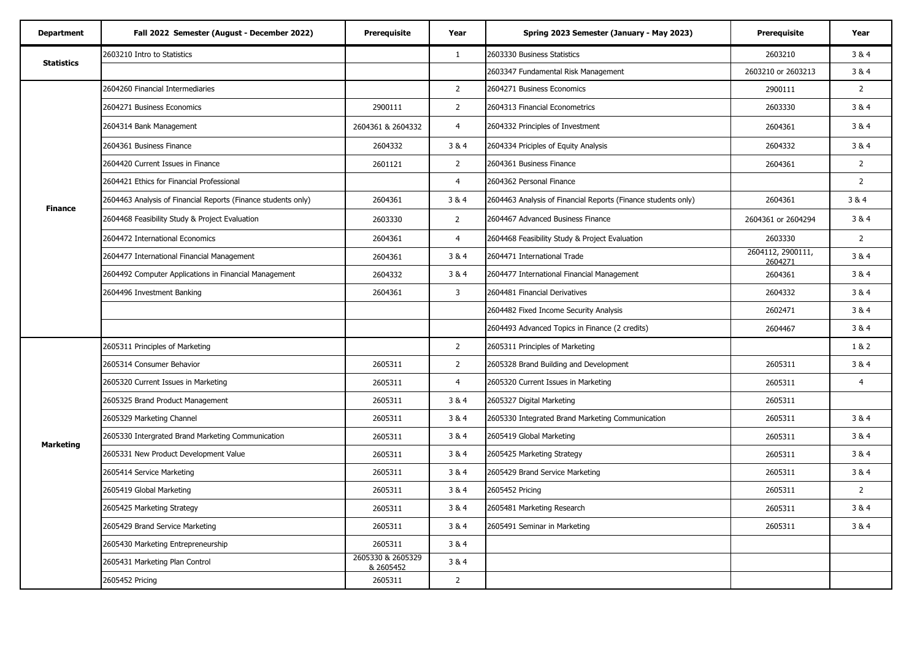| <b>Department</b> | Fall 2022 Semester (August - December 2022)                   | Prerequisite                   | Year           | Spring 2023 Semester (January - May 2023)                     | <b>Prerequisite</b>          | Year           |
|-------------------|---------------------------------------------------------------|--------------------------------|----------------|---------------------------------------------------------------|------------------------------|----------------|
| <b>Statistics</b> | 2603210 Intro to Statistics                                   |                                | $\mathbf{1}$   | 2603330 Business Statistics                                   | 2603210                      | 3 & 4          |
|                   |                                                               |                                |                | 2603347 Fundamental Risk Management                           | 2603210 or 2603213           | 3&4            |
|                   | 2604260 Financial Intermediaries                              |                                | $\overline{2}$ | 2604271 Business Economics                                    | 2900111                      | $2^{\circ}$    |
|                   | 2604271 Business Economics                                    | 2900111                        | $\overline{2}$ | 2604313 Financial Econometrics                                | 2603330                      | 3 & 4          |
|                   | 2604314 Bank Management                                       | 2604361 & 2604332              | $\overline{4}$ | 2604332 Principles of Investment                              | 2604361                      | 3 & 4          |
| <b>Finance</b>    | 2604361 Business Finance                                      | 2604332                        | 3&4            | 2604334 Priciples of Equity Analysis                          | 2604332                      | 3&4            |
|                   | 2604420 Current Issues in Finance                             | 2601121                        | $\overline{2}$ | 2604361 Business Finance                                      | 2604361                      | $2^{\circ}$    |
|                   | 2604421 Ethics for Financial Professional                     |                                | $\overline{4}$ | 2604362 Personal Finance                                      |                              | $\overline{2}$ |
|                   | 2604463 Analysis of Financial Reports (Finance students only) | 2604361                        | 3&4            | 2604463 Analysis of Financial Reports (Finance students only) | 2604361                      | 3&4            |
|                   | 2604468 Feasibility Study & Project Evaluation                | 2603330                        | $\overline{2}$ | 2604467 Advanced Business Finance                             | 2604361 or 2604294           | 3&4            |
|                   | 2604472 International Economics                               | 2604361                        | $\overline{4}$ | 2604468 Feasibility Study & Project Evaluation                | 2603330                      | $\overline{2}$ |
|                   | 2604477 International Financial Management                    | 2604361                        | 3 & 4          | 2604471 International Trade                                   | 2604112, 2900111,<br>2604271 | 3&4            |
|                   | 2604492 Computer Applications in Financial Management         | 2604332                        | 3&4            | 2604477 International Financial Management                    | 2604361                      | 3&4            |
|                   | 2604496 Investment Banking                                    | 2604361                        | 3              | 2604481 Financial Derivatives                                 | 2604332                      | 3&4            |
|                   |                                                               |                                |                | 2604482 Fixed Income Security Analysis                        | 2602471                      | 3 & 4          |
|                   |                                                               |                                |                | 2604493 Advanced Topics in Finance (2 credits)                | 2604467                      | 3&4            |
|                   | 2605311 Principles of Marketing                               |                                | $\overline{2}$ | 2605311 Principles of Marketing                               |                              | 1&2            |
|                   | 2605314 Consumer Behavior                                     | 2605311                        | $\overline{2}$ | 2605328 Brand Building and Development                        | 2605311                      | 3&4            |
|                   | 2605320 Current Issues in Marketing                           | 2605311                        | $\overline{4}$ | 2605320 Current Issues in Marketing                           | 2605311                      | 4              |
|                   | 2605325 Brand Product Management                              | 2605311                        | 3 & 4          | 2605327 Digital Marketing                                     | 2605311                      |                |
| <b>Marketing</b>  | 2605329 Marketing Channel                                     | 2605311                        | 3 & 4          | 2605330 Integrated Brand Marketing Communication              | 2605311                      | 3&4            |
|                   | 2605330 Intergrated Brand Marketing Communication             | 2605311                        | 3&4            | 2605419 Global Marketing                                      | 2605311                      | 3&4            |
|                   | 2605331 New Product Development Value                         | 2605311                        | 3&4            | 2605425 Marketing Strategy                                    | 2605311                      | 3&4            |
|                   | 2605414 Service Marketing                                     | 2605311                        | 3&4            | 2605429 Brand Service Marketing                               | 2605311                      | 3&4            |
|                   | 2605419 Global Marketing                                      | 2605311                        | 3&4            | 2605452 Pricing                                               | 2605311                      | $\overline{2}$ |
|                   | 2605425 Marketing Strategy                                    | 2605311                        | 3&4            | 2605481 Marketing Research                                    | 2605311                      | 3 & 4          |
|                   | 2605429 Brand Service Marketing                               | 2605311                        | 3&4            | 2605491 Seminar in Marketing                                  | 2605311                      | 3&4            |
|                   | 2605430 Marketing Entrepreneurship                            | 2605311                        | 3&4            |                                                               |                              |                |
|                   | 2605431 Marketing Plan Control                                | 2605330 & 2605329<br>& 2605452 | 3&4            |                                                               |                              |                |
|                   | 2605452 Pricing                                               | 2605311                        | $\overline{2}$ |                                                               |                              |                |